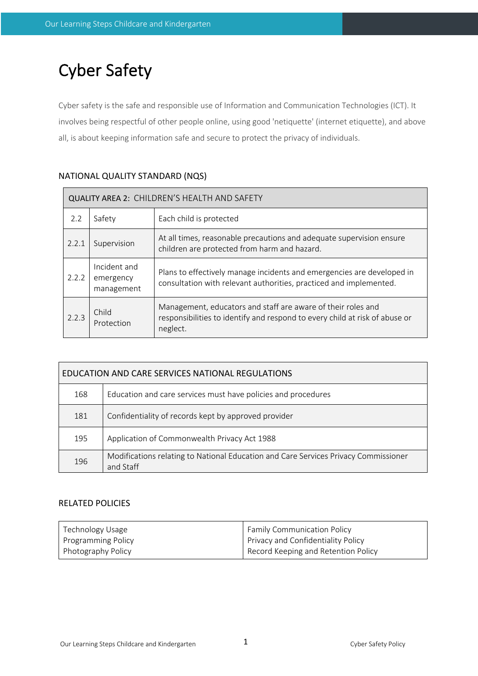# Cyber Safety

Cyber safety is the safe and responsible use of Information and Communication Technologies (ICT). It involves being respectful of other people online, using good 'netiquette' (internet etiquette), and above all, is about keeping information safe and secure to protect the privacy of individuals.

| QUALITY AREA 2: CHILDREN'S HEALTH AND SAFETY |                                         |                                                                                                                                                         |  |  |  |
|----------------------------------------------|-----------------------------------------|---------------------------------------------------------------------------------------------------------------------------------------------------------|--|--|--|
| 2.2                                          | Safety                                  | Each child is protected                                                                                                                                 |  |  |  |
| 2.2.1                                        | Supervision                             | At all times, reasonable precautions and adequate supervision ensure<br>children are protected from harm and hazard.                                    |  |  |  |
| 2.2.2                                        | Incident and<br>emergency<br>management | Plans to effectively manage incidents and emergencies are developed in<br>consultation with relevant authorities, practiced and implemented.            |  |  |  |
| 2.2.3                                        | Child<br>Protection                     | Management, educators and staff are aware of their roles and<br>responsibilities to identify and respond to every child at risk of abuse or<br>neglect. |  |  |  |

| EDUCATION AND CARE SERVICES NATIONAL REGULATIONS |                                                                                                  |  |  |  |
|--------------------------------------------------|--------------------------------------------------------------------------------------------------|--|--|--|
| 168                                              | Education and care services must have policies and procedures                                    |  |  |  |
| 181                                              | Confidentiality of records kept by approved provider                                             |  |  |  |
| 195                                              | Application of Commonwealth Privacy Act 1988                                                     |  |  |  |
| 196                                              | Modifications relating to National Education and Care Services Privacy Commissioner<br>and Staff |  |  |  |

# RELATED POLICIES

| Technology Usage   | <b>Family Communication Policy</b>  |
|--------------------|-------------------------------------|
| Programming Policy | Privacy and Confidentiality Policy  |
| Photography Policy | Record Keeping and Retention Policy |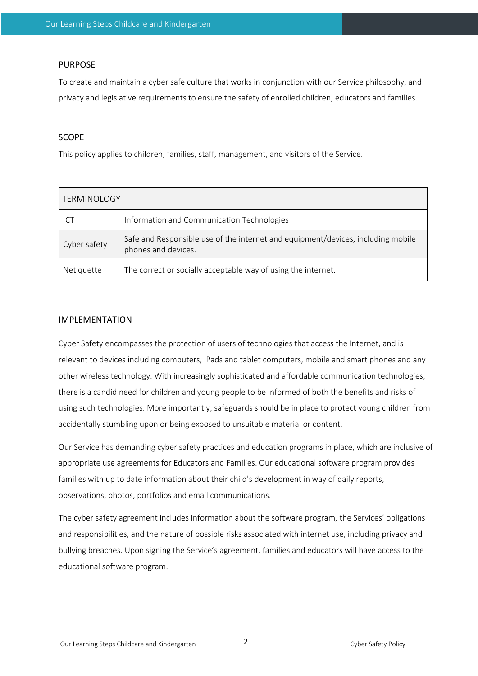## PURPOSE

To create and maintain a cyber safe culture that works in conjunction with our Service philosophy, and privacy and legislative requirements to ensure the safety of enrolled children, educators and families.

#### SCOPE

This policy applies to children, families, staff, management, and visitors of the Service.

| <b>TERMINOLOGY</b> |                                                                                                         |  |  |  |
|--------------------|---------------------------------------------------------------------------------------------------------|--|--|--|
| ICT                | Information and Communication Technologies                                                              |  |  |  |
| Cyber safety       | Safe and Responsible use of the internet and equipment/devices, including mobile<br>phones and devices. |  |  |  |
| Netiquette         | The correct or socially acceptable way of using the internet.                                           |  |  |  |

## IMPLEMENTATION

Cyber Safety encompasses the protection of users of technologies that access the Internet, and is relevant to devices including computers, iPads and tablet computers, mobile and smart phones and any other wireless technology. With increasingly sophisticated and affordable communication technologies, there is a candid need for children and young people to be informed of both the benefits and risks of using such technologies. More importantly, safeguards should be in place to protect young children from accidentally stumbling upon or being exposed to unsuitable material or content.

Our Service has demanding cyber safety practices and education programs in place, which are inclusive of appropriate use agreements for Educators and Families. Our educational software program provides families with up to date information about their child's development in way of daily reports, observations, photos, portfolios and email communications.

The cyber safety agreement includes information about the software program, the Services' obligations and responsibilities, and the nature of possible risks associated with internet use, including privacy and bullying breaches. Upon signing the Service's agreement, families and educators will have access to the educational software program.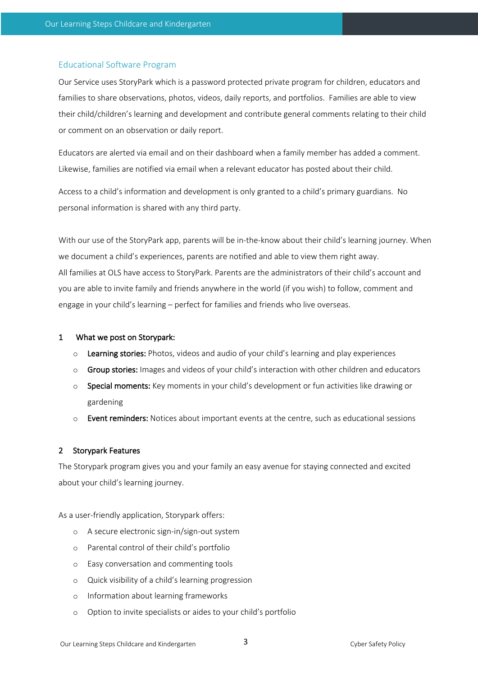# Educational Software Program

Our Service uses StoryPark which is a password protected private program for children, educators and families to share observations, photos, videos, daily reports, and portfolios. Families are able to view their child/children's learning and development and contribute general comments relating to their child or comment on an observation or daily report.

Educators are alerted via email and on their dashboard when a family member has added a comment. Likewise, families are notified via email when a relevant educator has posted about their child.

Access to a child's information and development is only granted to a child's primary guardians. No personal information is shared with any third party.

With our use of the StoryPark app, parents will be in-the-know about their child's learning journey. When we document a child's experiences, parents are notified and able to view them right away. All families at OLS have access to StoryPark. Parents are the administrators of their child's account and you are able to invite family and friends anywhere in the world (if you wish) to follow, comment and engage in your child's learning – perfect for families and friends who live overseas.

### 1 What we post on Storypark:

- $\circ$  Learning stories: Photos, videos and audio of your child's learning and play experiences
- o Group stories: Images and videos of your child's interaction with other children and educators
- o Special moments: Key moments in your child's development or fun activities like drawing or gardening
- $\circ$  Event reminders: Notices about important events at the centre, such as educational sessions

# 2 Storypark Features

The Storypark program gives you and your family an easy avenue for staying connected and excited about your child's learning journey.

As a user-friendly application, Storypark offers:

- o A secure electronic sign-in/sign-out system
- o Parental control of their child's portfolio
- o Easy conversation and commenting tools
- o Quick visibility of a child's learning progression
- o Information about learning frameworks
- o Option to invite specialists or aides to your child's portfolio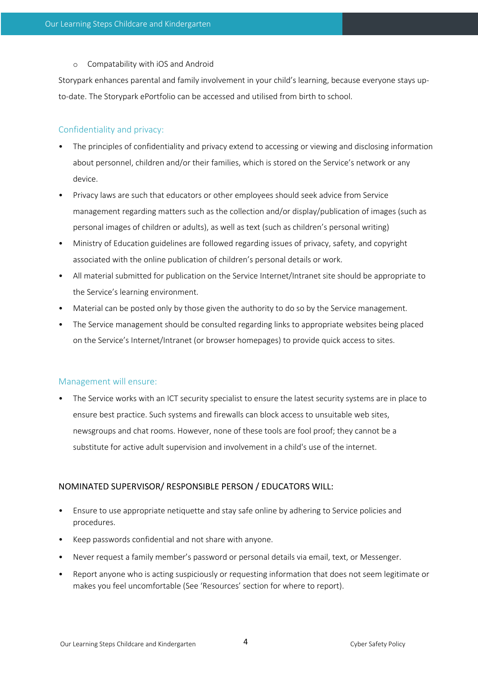o Compatability with iOS and Android

Storypark enhances parental and family involvement in your child's learning, because everyone stays upto-date. The Storypark ePortfolio can be accessed and utilised from birth to school.

# Confidentiality and privacy:

- The principles of confidentiality and privacy extend to accessing or viewing and disclosing information about personnel, children and/or their families, which is stored on the Service's network or any device.
- Privacy laws are such that educators or other employees should seek advice from Service management regarding matters such as the collection and/or display/publication of images (such as personal images of children or adults), as well as text (such as children's personal writing)
- Ministry of Education guidelines are followed regarding issues of privacy, safety, and copyright associated with the online publication of children's personal details or work.
- All material submitted for publication on the Service Internet/Intranet site should be appropriate to the Service's learning environment.
- Material can be posted only by those given the authority to do so by the Service management.
- The Service management should be consulted regarding links to appropriate websites being placed on the Service's Internet/Intranet (or browser homepages) to provide quick access to sites.

# Management will ensure:

• The Service works with an ICT security specialist to ensure the latest security systems are in place to ensure best practice. Such systems and firewalls can block access to unsuitable web sites, newsgroups and chat rooms. However, none of these tools are fool proof; they cannot be a substitute for active adult supervision and involvement in a child's use of the internet.

# NOMINATED SUPERVISOR/ RESPONSIBLE PERSON / EDUCATORS WILL:

- Ensure to use appropriate netiquette and stay safe online by adhering to Service policies and procedures.
- Keep passwords confidential and not share with anyone.
- Never request a family member's password or personal details via email, text, or Messenger.
- Report anyone who is acting suspiciously or requesting information that does not seem legitimate or makes you feel uncomfortable (See 'Resources' section for where to report).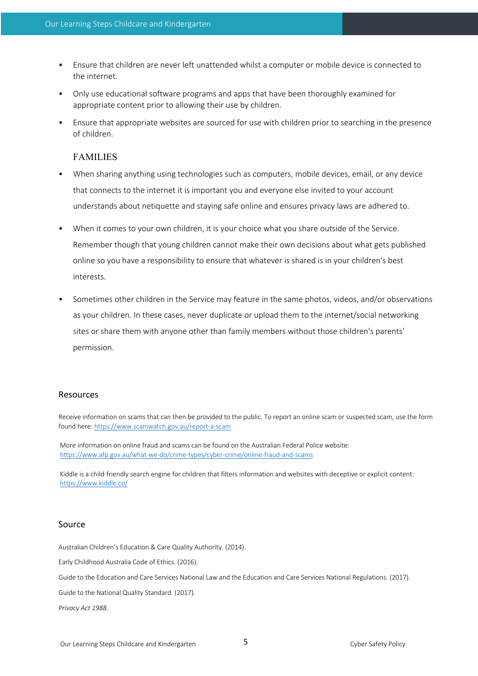- Ensure that children are never left unattended whilst a computer or mobile device is connected to the internet.
- Only use educational software programs and apps that have been thoroughly examined for appropriate content prior to allowing their use by children.
- Ensure that appropriate websites are sourced for use with children prior to searching in the presence of children.

# FAMILIES

- When sharing anything using technologies such as computers, mobile devices, email, or any device that connects to the internet it is important you and everyone else invited to your account understands about netiquette and staying safe online and ensures privacy laws are adhered to.
- When it comes to your own children, it is your choice what you share outside of the Service. Remember though that young children cannot make their own decisions about what gets published online so you have a responsibility to ensure that whatever is shared is in your children's best interests.
- Sometimes other children in the Service may feature in the same photos, videos, and/or observations as your children. In these cases, never duplicate or upload them to the internet/social networking sites or share them with anyone other than family members without those children's parents' permission.

#### Resources

Receive information on scams that can then be provided to the public. To report an online scam or suspected scam, use the form found here: https://www.scamwatch.gov.au/report-a-scam

More information on online fraud and scams can be found on the Australian Federal Police website: https://www.afp.gov.au/what-we-do/crime-types/cyber-crime/online-fraud-and-scams

Kiddle is a child-friendly search engine for children that filters information and websites with deceptive or explicit content: https://www.kiddle.co/

#### Source

Australian Children's Education & Care Quality Authority. (2014).

Early Childhood Australia Code of Ethics. (2016).

Guide to the Education and Care Services National Law and the Education and Care Services National Regulations. (2017).

Guide to the National Quality Standard. (2017).

*Privacy Act 1988.*